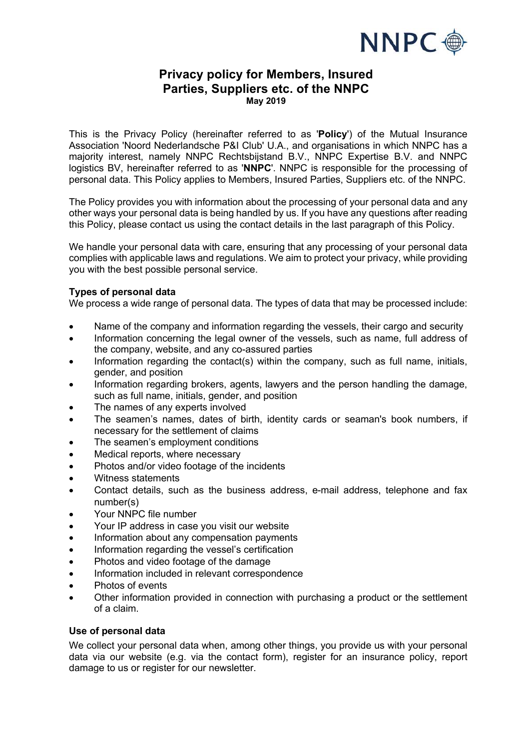

# **Privacy policy for Members, Insured Parties, Suppliers etc. of the NNPC May 2019**

This is the Privacy Policy (hereinafter referred to as '**Policy**') of the Mutual Insurance Association 'Noord Nederlandsche P&I Club' U.A., and organisations in which NNPC has a majority interest, namely NNPC Rechtsbijstand B.V., NNPC Expertise B.V. and NNPC logistics BV, hereinafter referred to as '**NNPC**'. NNPC is responsible for the processing of personal data. This Policy applies to Members, Insured Parties, Suppliers etc. of the NNPC.

The Policy provides you with information about the processing of your personal data and any other ways your personal data is being handled by us. If you have any questions after reading this Policy, please contact us using the contact details in the last paragraph of this Policy.

We handle your personal data with care, ensuring that any processing of your personal data complies with applicable laws and regulations. We aim to protect your privacy, while providing you with the best possible personal service.

## **Types of personal data**

We process a wide range of personal data. The types of data that may be processed include:

- Name of the company and information regarding the vessels, their cargo and security
- Information concerning the legal owner of the vessels, such as name, full address of the company, website, and any co-assured parties
- Information regarding the contact(s) within the company, such as full name, initials, gender, and position
- Information regarding brokers, agents, lawyers and the person handling the damage, such as full name, initials, gender, and position
- The names of any experts involved
- The seamen's names, dates of birth, identity cards or seaman's book numbers, if necessary for the settlement of claims
- The seamen's employment conditions
- Medical reports, where necessary
- Photos and/or video footage of the incidents
- Witness statements
- Contact details, such as the business address, e-mail address, telephone and fax number(s)
- Your NNPC file number
- Your IP address in case you visit our website
- Information about any compensation payments
- Information regarding the vessel's certification
- Photos and video footage of the damage
- Information included in relevant correspondence
- Photos of events
- Other information provided in connection with purchasing a product or the settlement of a claim.

### **Use of personal data**

We collect your personal data when, among other things, you provide us with your personal data via our website (e.g. via the contact form), register for an insurance policy, report damage to us or register for our newsletter.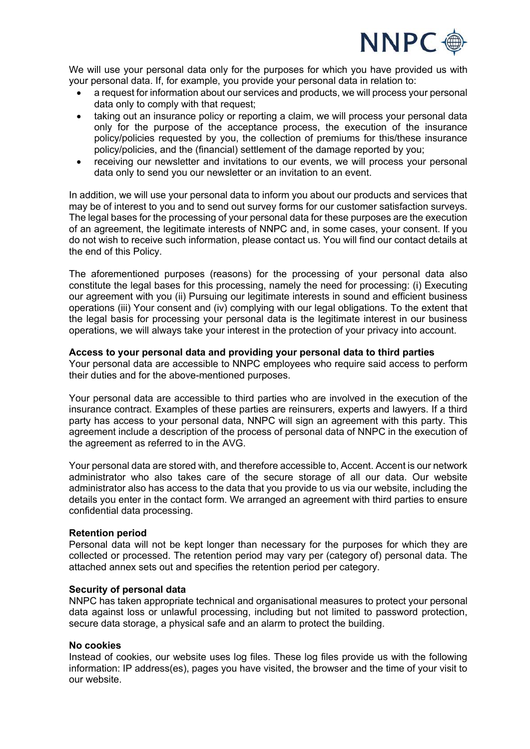

We will use your personal data only for the purposes for which you have provided us with your personal data. If, for example, you provide your personal data in relation to:

- a request for information about our services and products, we will process your personal data only to comply with that request;
- taking out an insurance policy or reporting a claim, we will process your personal data only for the purpose of the acceptance process, the execution of the insurance policy/policies requested by you, the collection of premiums for this/these insurance policy/policies, and the (financial) settlement of the damage reported by you;
- receiving our newsletter and invitations to our events, we will process your personal data only to send you our newsletter or an invitation to an event.

In addition, we will use your personal data to inform you about our products and services that may be of interest to you and to send out survey forms for our customer satisfaction surveys. The legal bases for the processing of your personal data for these purposes are the execution of an agreement, the legitimate interests of NNPC and, in some cases, your consent. If you do not wish to receive such information, please contact us. You will find our contact details at the end of this Policy.

The aforementioned purposes (reasons) for the processing of your personal data also constitute the legal bases for this processing, namely the need for processing: (i) Executing our agreement with you (ii) Pursuing our legitimate interests in sound and efficient business operations (iii) Your consent and (iv) complying with our legal obligations. To the extent that the legal basis for processing your personal data is the legitimate interest in our business operations, we will always take your interest in the protection of your privacy into account.

### **Access to your personal data and providing your personal data to third parties**

Your personal data are accessible to NNPC employees who require said access to perform their duties and for the above-mentioned purposes.

Your personal data are accessible to third parties who are involved in the execution of the insurance contract. Examples of these parties are reinsurers, experts and lawyers. If a third party has access to your personal data, NNPC will sign an agreement with this party. This agreement include a description of the process of personal data of NNPC in the execution of the agreement as referred to in the AVG.

Your personal data are stored with, and therefore accessible to, Accent. Accent is our network administrator who also takes care of the secure storage of all our data. Our website administrator also has access to the data that you provide to us via our website, including the details you enter in the contact form. We arranged an agreement with third parties to ensure confidential data processing.

### **Retention period**

Personal data will not be kept longer than necessary for the purposes for which they are collected or processed. The retention period may vary per (category of) personal data. The attached annex sets out and specifies the retention period per category.

### **Security of personal data**

NNPC has taken appropriate technical and organisational measures to protect your personal data against loss or unlawful processing, including but not limited to password protection, secure data storage, a physical safe and an alarm to protect the building.

### **No cookies**

Instead of cookies, our website uses log files. These log files provide us with the following information: IP address(es), pages you have visited, the browser and the time of your visit to our website.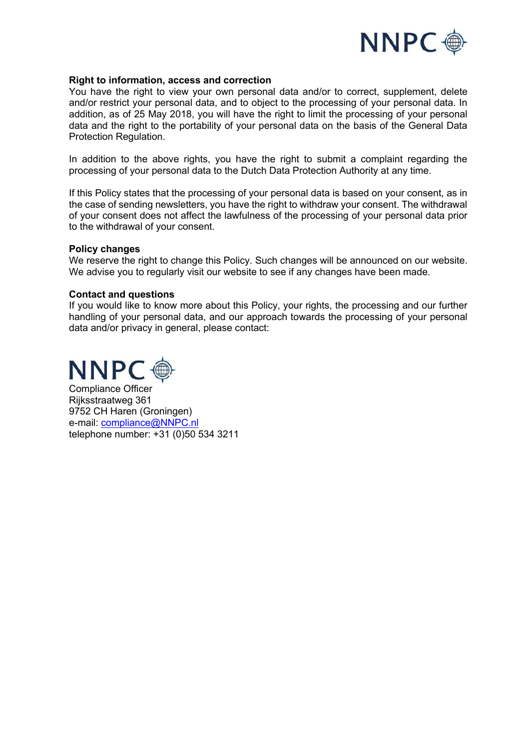

### **Right to information, access and correction**

You have the right to view your own personal data and/or to correct, supplement, delete and/or restrict your personal data, and to object to the processing of your personal data. In addition, as of 25 May 2018, you will have the right to limit the processing of your personal data and the right to the portability of your personal data on the basis of the General Data Protection Regulation.

In addition to the above rights, you have the right to submit a complaint regarding the processing of your personal data to the Dutch Data Protection Authority at any time.

If this Policy states that the processing of your personal data is based on your consent, as in the case of sending newsletters, you have the right to withdraw your consent. The withdrawal of your consent does not affect the lawfulness of the processing of your personal data prior to the withdrawal of your consent.

#### **Policy changes**

We reserve the right to change this Policy. Such changes will be announced on our website. We advise you to regularly visit our website to see if any changes have been made.

#### **Contact and questions**

If you would like to know more about this Policy, your rights, the processing and our further handling of your personal data, and our approach towards the processing of your personal data and/or privacy in general, please contact:



Compliance Officer Rijksstraatweg 361 9752 CH Haren (Groningen) e-mail: compliance@NNPC.nl telephone number: +31 (0)50 534 3211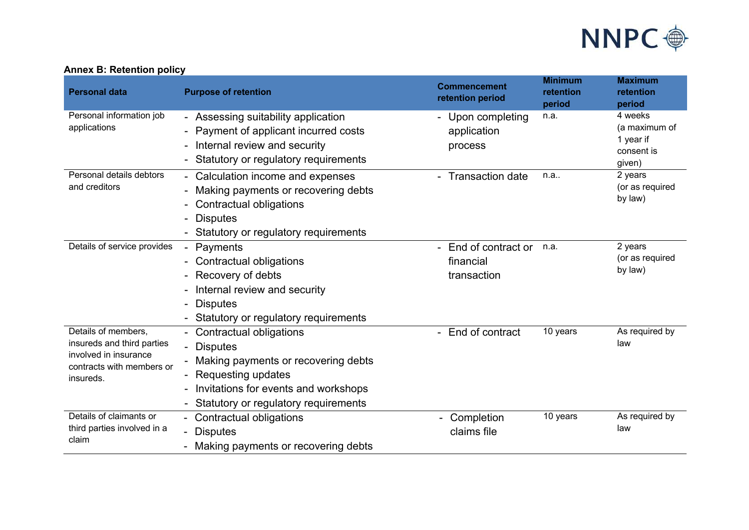

| <b>Personal data</b>                                                                                                 | <b>Purpose of retention</b>                                                                                                                                                                                           | <b>Commencement</b><br>retention period        | <b>Minimum</b><br>retention<br>period | <b>Maximum</b><br>retention<br>period                         |
|----------------------------------------------------------------------------------------------------------------------|-----------------------------------------------------------------------------------------------------------------------------------------------------------------------------------------------------------------------|------------------------------------------------|---------------------------------------|---------------------------------------------------------------|
| Personal information job<br>applications                                                                             | - Assessing suitability application<br>Payment of applicant incurred costs<br>$\blacksquare$<br>Internal review and security<br>Statutory or regulatory requirements                                                  | - Upon completing<br>application<br>process    | n.a.                                  | 4 weeks<br>(a maximum of<br>1 year if<br>consent is<br>given) |
| Personal details debtors<br>and creditors                                                                            | - Calculation income and expenses<br>Making payments or recovering debts<br>$\overline{\phantom{a}}$<br><b>Contractual obligations</b><br><b>Disputes</b><br>Statutory or regulatory requirements                     | - Transaction date                             | n.a                                   | 2 years<br>(or as required<br>by law)                         |
| Details of service provides                                                                                          | Payments<br>Contractual obligations<br>Recovery of debts<br>Internal review and security<br><b>Disputes</b><br>Statutory or regulatory requirements                                                                   | End of contract or<br>financial<br>transaction | n.a.                                  | 2 years<br>(or as required<br>by law)                         |
| Details of members,<br>insureds and third parties<br>involved in insurance<br>contracts with members or<br>insureds. | - Contractual obligations<br><b>Disputes</b><br>Making payments or recovering debts<br>Requesting updates<br>Invitations for events and workshops<br>$\overline{\phantom{a}}$<br>Statutory or regulatory requirements | - End of contract                              | 10 years                              | As required by<br>law                                         |
| Details of claimants or<br>third parties involved in a<br>claim                                                      | Contractual obligations<br><b>Disputes</b><br>$\blacksquare$<br>Making payments or recovering debts                                                                                                                   | Completion<br>claims file                      | 10 years                              | As required by<br>law                                         |

# **Annex B: Retention policy**